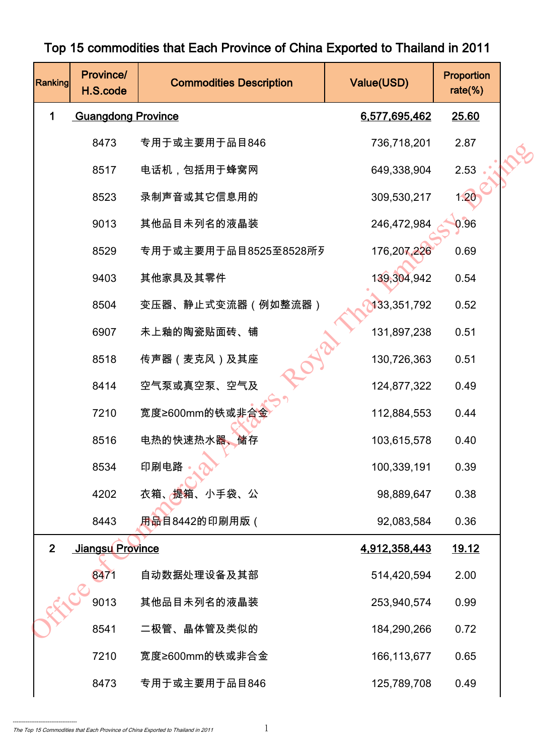| Ranking        | Province/<br>H.S.code     | <b>Commodities Description</b> | Value(USD)    | Proportion<br>rate $(\%)$ |  |
|----------------|---------------------------|--------------------------------|---------------|---------------------------|--|
| 1              | <b>Guangdong Province</b> |                                | 6,577,695,462 | 25.60                     |  |
|                | 8473                      | 专用于或主要用于品目846                  | 736,718,201   | 2.87                      |  |
|                | 8517                      | 电话机,包括用于蜂窝网                    | 649,338,904   | 2.53                      |  |
|                | 8523                      | 录制声音或其它信息用的                    | 309,530,217   | 1.20                      |  |
|                | 9013                      | 其他品目未列名的液晶装                    | 246,472,984   | 0.96                      |  |
|                | 8529                      | 专用于或主要用于品目8525至8528所列          | 176,207,226   | 0.69                      |  |
|                | 9403                      | 其他家具及其零件                       | 139,304,942   | 0.54                      |  |
|                | 8504                      | 变压器、静止式变流器 (例如整流器)             | 133,351,792   | 0.52                      |  |
|                | 6907                      | 未上釉的陶瓷贴面砖、铺                    | 131,897,238   | 0.51                      |  |
|                | 8518                      | 传声器(麦克风)及其座                    | 130,726,363   | 0.51                      |  |
|                | 8414                      | 空气泵或真空泵、空气及                    | 124,877,322   | 0.49                      |  |
|                | 7210                      | 宽度≥600mm的铁或非合金                 | 112,884,553   | 0.44                      |  |
|                | 8516                      | 电热的快速热水器、<br>储存                | 103,615,578   | 0.40                      |  |
|                | 8534                      | 印刷电路                           | 100,339,191   | 0.39                      |  |
|                | 4202                      | 衣箱、 <del>提</del> 箱、小手袋、公       | 98,889,647    | 0.38                      |  |
|                | 8443                      | <u>用品</u> 目8442的印刷用版(          | 92,083,584    | 0.36                      |  |
| 2 <sup>1</sup> | Jiangsu Province          |                                | 4,912,358,443 | <u>19.12</u>              |  |
|                | 8471                      | 自动数据处理设备及其部                    | 514,420,594   | 2.00                      |  |
|                | 9013                      | 其他品目未列名的液晶装                    | 253,940,574   | 0.99                      |  |
|                | 8541                      | 二极管、晶体管及类似的                    | 184,290,266   | 0.72                      |  |
|                | 7210                      | 宽度≥600mm的铁或非合金                 | 166, 113, 677 | 0.65                      |  |
|                | 8473                      | 专用于或主要用于品目846                  | 125,789,708   | 0.49                      |  |

## Top 15 commodities that Each Province of China Exported to Thailand in 2011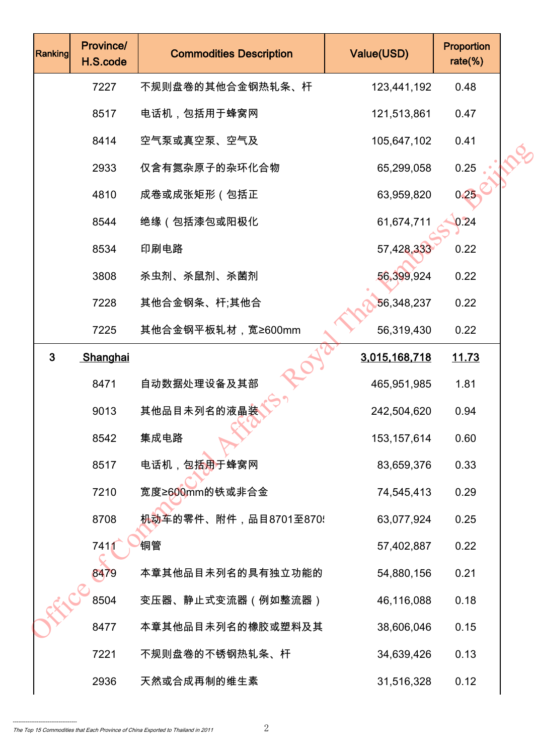| Ranking      | Province/<br>H.S.code | <b>Commodities Description</b>      | Value(USD)    | <b>Proportion</b><br>rate $(\%)$ |  |
|--------------|-----------------------|-------------------------------------|---------------|----------------------------------|--|
|              | 7227                  | 不规则盘卷的其他合金钢热轧条、杆                    | 123,441,192   | 0.48                             |  |
|              | 8517                  | 电话机,包括用于蜂窝网                         | 121,513,861   | 0.47                             |  |
|              | 8414                  | 空气泵或真空泵、空气及                         | 105,647,102   | 0.41                             |  |
|              | 2933                  | 仅含有氮杂原子的杂环化合物                       | 65,299,058    | 0.25                             |  |
|              | 4810                  | 成卷或成张矩形(包括正                         | 63,959,820    | 0.25                             |  |
|              | 8544                  | 绝缘(包括漆包或阳极化                         | 61,674,711    | 0.24                             |  |
|              | 8534                  | 印刷电路                                | 57,428,330    | 0.22                             |  |
|              | 3808                  | 杀虫剂、杀鼠剂、杀菌剂                         | 56,399,924    | 0.22                             |  |
|              | 7228                  | 其他合金钢条、杆;其他合                        | 56,348,237    | 0.22                             |  |
|              | 7225                  | 其他合金钢平板轧材,宽≥600mm                   | 56,319,430    | 0.22                             |  |
| $\mathbf{3}$ | Shanghai              |                                     | 3,015,168,718 | <u>11.73</u>                     |  |
|              | 8471                  | 自动数据处理设备及其部                         | 465,951,985   | 1.81                             |  |
|              | 9013                  | 其他品目未列名的液晶装                         | 242,504,620   | 0.94                             |  |
|              | 8542                  | 集成电路                                | 153, 157, 614 | 0.60                             |  |
|              | 8517                  | 电话机,包括 <mark>用</mark> 于蜂窝网          | 83,659,376    | 0.33                             |  |
|              | 7210                  | 宽度≥600mm的铁或非合金                      | 74,545,413    | 0.29                             |  |
|              | 8708                  | <mark>机动车</mark> 的零件、附件,品目8701至870! | 63,077,924    | 0.25                             |  |
|              | 741                   | 铜管                                  | 57,402,887    | 0.22                             |  |
|              | 8479                  | 本章其他品目未列名的具有独立功能的                   | 54,880,156    | 0.21                             |  |
|              | 8504                  | 变压器、静止式变流器(例如整流器)                   | 46,116,088    | 0.18                             |  |
|              | 8477                  | 本章其他品目未列名的橡胶或塑料及其                   | 38,606,046    | 0.15                             |  |
|              | 7221                  | 不规则盘卷的不锈钢热轧条、杆                      | 34,639,426    | 0.13                             |  |
|              | 2936                  | 天然或合成再制的维生素                         | 31,516,328    | 0.12                             |  |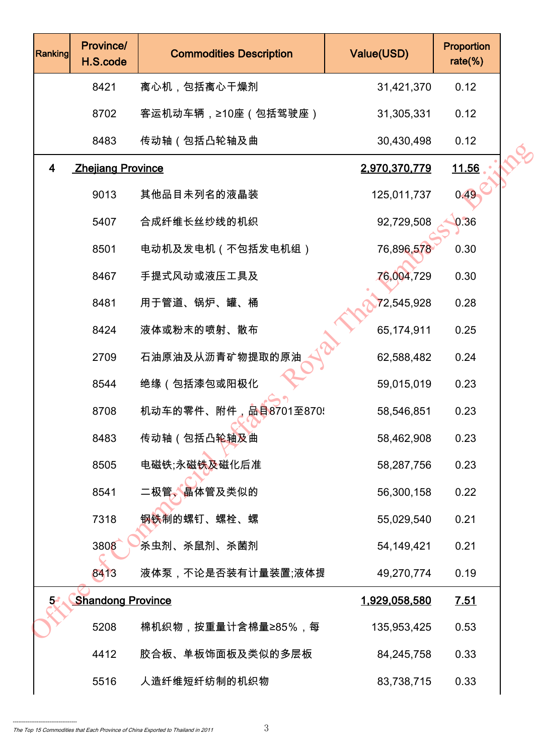| Ranking | Province/<br>H.S.code    | <b>Commodities Description</b> | Value(USD)           | Proportion<br>$rate$ %) |  |
|---------|--------------------------|--------------------------------|----------------------|-------------------------|--|
|         | 8421                     | 离心机,包括离心干燥剂                    | 31,421,370           | 0.12                    |  |
|         | 8702                     | 客运机动车辆,≥10座(包括驾驶座)             | 31,305,331           | 0.12                    |  |
|         | 8483                     | 传动轴(包括凸轮轴及曲                    | 30,430,498           | 0.12                    |  |
| 4       | <b>Zhejiang Province</b> |                                | 2,970,370,779        | <u>11.56</u>            |  |
|         | 9013                     | 其他品目未列名的液晶装                    | 125,011,737          | 0.49                    |  |
|         | 5407                     | 合成纤维长丝纱线的机织                    | 92,729,508           | 0.36                    |  |
|         | 8501                     | 电动机及发电机(不包括发电机组)               | 76,896,578           | 0.30                    |  |
|         | 8467                     | 手提式风动或液压工具及                    | 76,004,729           | 0.30                    |  |
|         | 8481                     | 用于管道、锅炉、罐、桶                    | 72,545,928           | 0.28                    |  |
|         | 8424                     | 液体或粉末的喷射、散布                    | 65,174,911           | 0.25                    |  |
|         | 2709                     | 石油原油及从沥青矿物提取的原油                | 62,588,482           | 0.24                    |  |
|         | 8544                     | 绝缘 (包括漆包或阳极化                   | 59,015,019           | 0.23                    |  |
|         | 8708                     | 机动车的零件、附件,品目8701至870!          | 58,546,851           | 0.23                    |  |
|         | 8483                     | 传动轴(包括凸轮轴及曲                    | 58,462,908           | 0.23                    |  |
|         | 8505                     | 电磁铁;永磁铁及磁化后准                   | 58,287,756           | 0.23                    |  |
|         | 8541                     | 二极管、晶体管及类似的                    | 56,300,158           | 0.22                    |  |
|         | 7318                     | 钢铁制的螺钉、螺栓、螺                    | 55,029,540           | 0.21                    |  |
|         | 3808                     | 杀虫剂、杀鼠剂、杀菌剂                    | 54,149,421           | 0.21                    |  |
|         | 8413                     | 液体泵,不论是否装有计量装置;液体提             | 49,270,774           | 0.19                    |  |
| $5 -$   | <b>Shandong Province</b> |                                | <u>1,929,058,580</u> | 7.51                    |  |
|         | 5208                     | 棉机织物,按重量计含棉量≥85%,每             | 135,953,425          | 0.53                    |  |
|         | 4412                     | 胶合板、单板饰面板及类似的多层板               | 84,245,758           | 0.33                    |  |
|         | 5516                     | 人造纤维短纤纺制的机织物                   | 83,738,715           | 0.33                    |  |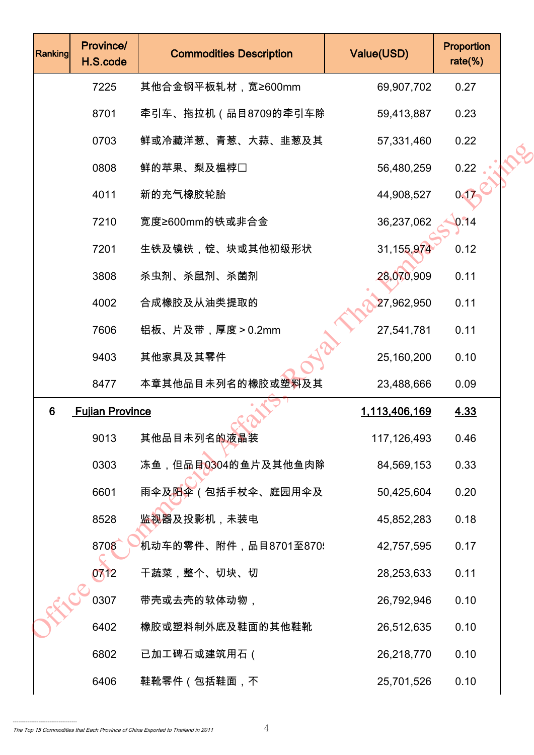| Ranking | Province/<br>H.S.code  | <b>Commodities Description</b>   | Value(USD)    | Proportion<br>rate $(\%)$ |  |
|---------|------------------------|----------------------------------|---------------|---------------------------|--|
|         | 7225                   | 其他合金钢平板轧材,宽≥600mm                | 69,907,702    | 0.27                      |  |
|         | 8701                   | 牵引车、拖拉机(品目8709的牵引车除              | 59,413,887    | 0.23                      |  |
|         | 0703                   | 鲜或冷藏洋葱、青葱、大蒜、韭葱及其                | 57,331,460    | 0.22                      |  |
|         | 0808                   | 鲜的苹果、梨及榅桲□                       | 56,480,259    | 0.22                      |  |
|         | 4011                   | 新的充气橡胶轮胎                         | 44,908,527    | 0.17                      |  |
|         | 7210                   | 宽度≥600mm的铁或非合金                   | 36,237,062    | 0.14                      |  |
|         | 7201                   | 生铁及镜铁,锭、块或其他初级形状                 | 31, 155, 974  | 0.12                      |  |
|         | 3808                   | 杀虫剂、杀鼠剂、杀菌剂                      | 28,070,909    | 0.11                      |  |
|         | 4002                   | 合成橡胶及从油类提取的                      | 27,962,950    | 0.11                      |  |
|         | 7606                   | 铝板、片及带,厚度>0.2mm                  | 27,541,781    | 0.11                      |  |
|         | 9403                   | 其他家具及其零件                         | 25,160,200    | 0.10                      |  |
|         | 8477                   | 本章其他品目未列名的橡胶或塑料及其                | 23,488,666    | 0.09                      |  |
| 6       | <b>Fujian Province</b> |                                  | 1,113,406,169 | 4.33                      |  |
|         | 9013                   | 其他品目未列名的液晶装                      | 117,126,493   | 0.46                      |  |
|         | 0303                   | 冻鱼,但品目0304的鱼片及其他鱼肉除              | 84,569,153    | 0.33                      |  |
|         | 6601                   | 雨伞及 <mark>阳伞</mark> (包括手杖伞、庭园用伞及 | 50,425,604    | 0.20                      |  |
|         | 8528                   | 监 <mark>视器</mark> 及投影机,未装电       | 45,852,283    | 0.18                      |  |
|         | 8708                   | 机动车的零件、附件,品目8701至870{            | 42,757,595    | 0.17                      |  |
|         | 0712                   | 干蔬菜,整个、切块、切                      | 28,253,633    | 0.11                      |  |
|         | 0307                   | 带壳或去壳的软体动物,                      | 26,792,946    | 0.10                      |  |
|         | 6402                   | 橡胶或塑料制外底及鞋面的其他鞋靴                 | 26,512,635    | 0.10                      |  |
|         | 6802                   | 已加工碑石或建筑用石(                      | 26,218,770    | 0.10                      |  |
|         | 6406                   | 鞋靴零件(包括鞋面,不                      | 25,701,526    | 0.10                      |  |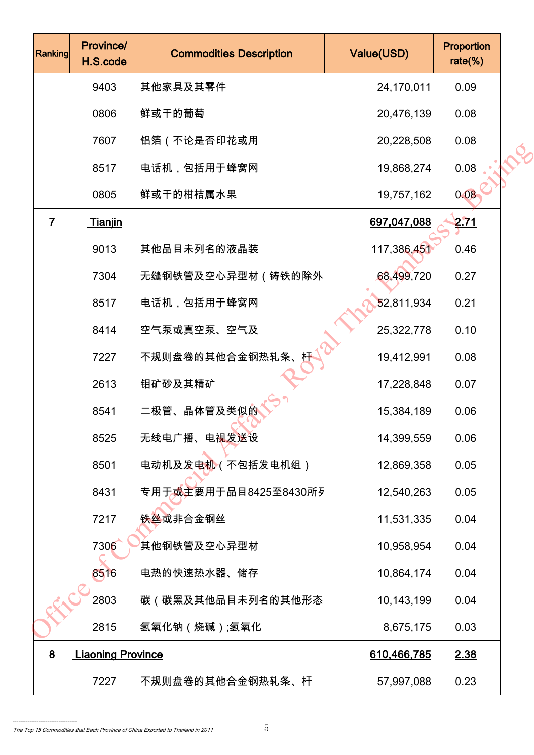| <b>Ranking</b> | Province/<br>H.S.code    | <b>Commodities Description</b>       | Value(USD)  | Proportion<br>$rate$ %) |  |
|----------------|--------------------------|--------------------------------------|-------------|-------------------------|--|
|                | 9403                     | 其他家具及其零件                             | 24,170,011  | 0.09                    |  |
|                | 0806                     | 鲜或干的葡萄                               | 20,476,139  | 0.08                    |  |
|                | 7607                     | 铝箔 (不论是否印花或用                         | 20,228,508  | 0.08                    |  |
|                | 8517                     | 电话机,包括用于蜂窝网                          | 19,868,274  | 0.08                    |  |
|                | 0805                     | 鲜或干的柑桔属水果                            | 19,757,162  | 0.08                    |  |
| $\overline{7}$ | <b>Tianjin</b>           |                                      | 697,047,088 | 2.71                    |  |
|                | 9013                     | 其他品目未列名的液晶装                          | 117,386,451 | 0.46                    |  |
|                | 7304                     | 无缝钢铁管及空心异型材(铸铁的除外                    | 68,499,720  | 0.27                    |  |
|                | 8517                     | 电话机,包括用于蜂窝网                          | 52,811,934  | 0.21                    |  |
|                | 8414                     | 空气泵或真空泵、空气及                          | 25,322,778  | 0.10                    |  |
|                | 7227                     | 不规则盘卷的其他合金钢热轧条、                      | 19,412,991  | 0.08                    |  |
|                | 2613                     | 钼矿砂及其精矿                              | 17,228,848  | 0.07                    |  |
|                | 8541                     | 二极管、晶体管及类似的                          | 15,384,189  | 0.06                    |  |
|                | 8525                     | 无线电广播、电视发送设                          | 14,399,559  | 0.06                    |  |
|                | 8501                     | 电动机及发电机(不包括发电机组)                     | 12,869,358  | 0.05                    |  |
|                | 8431                     | 专用于 <mark>或主</mark> 要用于品目8425至8430所歹 | 12,540,263  | 0.05                    |  |
|                | 7217                     | 铁丝或非合金钢丝                             | 11,531,335  | 0.04                    |  |
|                | 7306                     | 其他钢铁管及空心异型材                          | 10,958,954  | 0.04                    |  |
|                | 8516                     | 电热的快速热水器、储存                          | 10,864,174  | 0.04                    |  |
|                | 2803                     | 碳(碳黑及其他品目未列名的其他形态                    | 10,143,199  | 0.04                    |  |
|                | 2815                     | 氢氧化钠(烧碱);氢氧化                         | 8,675,175   | 0.03                    |  |
| 8              | <b>Liaoning Province</b> |                                      | 610,466,785 | 2.38                    |  |
|                | 7227                     | 不规则盘卷的其他合金钢热轧条、杆                     | 57,997,088  | 0.23                    |  |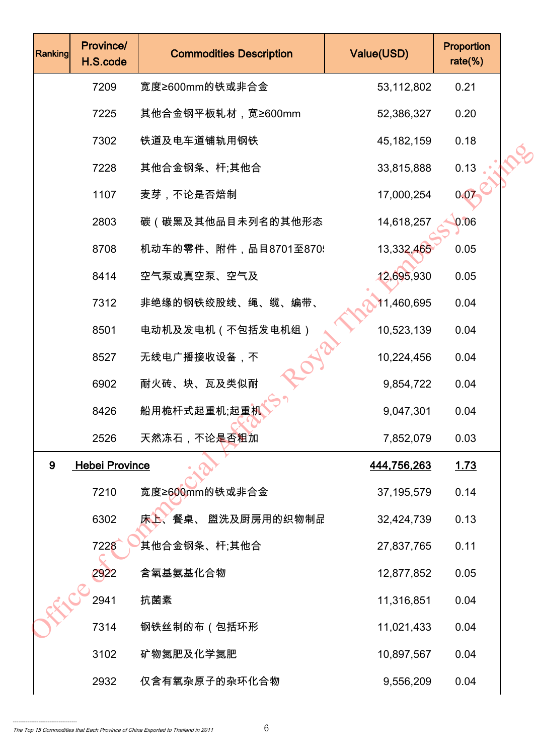| Ranking | Province/<br>H.S.code | <b>Commodities Description</b> | Value(USD)   | Proportion<br>$rate$ %) |  |
|---------|-----------------------|--------------------------------|--------------|-------------------------|--|
|         | 7209                  | 宽度≥600mm的铁或非合金                 | 53,112,802   | 0.21                    |  |
|         | 7225                  | 其他合金钢平板轧材,宽≥600mm              | 52,386,327   | 0.20                    |  |
|         | 7302                  | 铁道及电车道铺轨用钢铁                    | 45, 182, 159 | 0.18                    |  |
|         | 7228                  | 其他合金钢条、杆;其他合                   | 33,815,888   | 0.13                    |  |
|         | 1107                  | 麦芽,不论是否焙制                      | 17,000,254   | 0.07                    |  |
|         | 2803                  | 碳(碳黑及其他品目未列名的其他形态              | 14,618,257   | 0.06                    |  |
|         | 8708                  | 机动车的零件、附件,品目8701至870!          | 13,332,465   | 0.05                    |  |
|         | 8414                  | 空气泵或真空泵、空气及                    | 12,695,930   | 0.05                    |  |
|         | 7312                  | 非绝缘的钢铁绞股线、绳、缆、编带、              | 11,460,695   | 0.04                    |  |
|         | 8501                  | 电动机及发电机 (不包括发电机组)              | 10,523,139   | 0.04                    |  |
|         | 8527                  | 无线电广播接收设备,不                    | 10,224,456   | 0.04                    |  |
|         | 6902                  | 耐火砖、块、瓦及类似耐                    | 9,854,722    | 0.04                    |  |
|         | 8426                  | 船用桅杆式起重机;起重机                   | 9,047,301    | 0.04                    |  |
|         | 2526                  | 天然冻石,不论是否粗加                    | 7,852,079    | 0.03                    |  |
| 9       | <b>Hebei Province</b> |                                | 444,756,263  | 1.73                    |  |
|         | 7210                  | 宽度≥600mm的铁或非合金                 | 37, 195, 579 | 0.14                    |  |
|         | 6302                  | 床上、餐桌、 盥洗及厨房用的织物制品             | 32,424,739   | 0.13                    |  |
|         | 7228                  | 其他合金钢条、杆;其他合                   | 27,837,765   | 0.11                    |  |
|         | 2922                  | 含氧基氨基化合物                       | 12,877,852   | 0.05                    |  |
|         | 2941                  | 抗菌素                            | 11,316,851   | 0.04                    |  |
|         | 7314                  | 钢铁丝制的布(包括环形                    | 11,021,433   | 0.04                    |  |
|         | 3102                  | 矿物氮肥及化学氮肥                      | 10,897,567   | 0.04                    |  |
|         | 2932                  | 仅含有氧杂原子的杂环化合物                  | 9,556,209    | 0.04                    |  |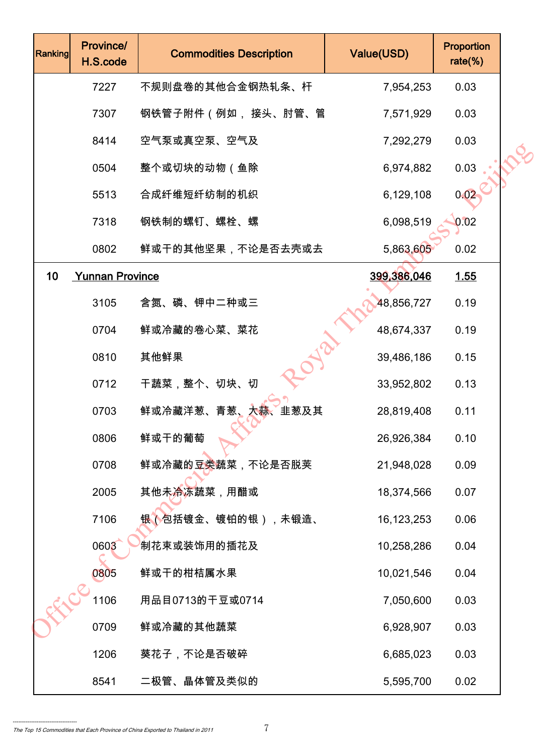| Ranking | Province/<br>H.S.code  | <b>Commodities Description</b> | Value(USD)   | Proportion<br>rate $(\%)$ |  |
|---------|------------------------|--------------------------------|--------------|---------------------------|--|
|         | 7227                   | 不规则盘卷的其他合金钢热轧条、杆               | 7,954,253    | 0.03                      |  |
|         | 7307                   | 钢铁管子附件(例如, 接头、肘管、管             | 7,571,929    | 0.03                      |  |
|         | 8414                   | 空气泵或真空泵、空气及                    | 7,292,279    | 0.03                      |  |
|         | 0504                   | 整个或切块的动物(鱼除                    | 6,974,882    | 0.03                      |  |
|         | 5513                   | 合成纤维短纤纺制的机织                    | 6,129,108    | 0.02                      |  |
|         | 7318                   | 钢铁制的螺钉、螺栓、螺                    | 6,098,519    | 0.02                      |  |
|         | 0802                   | 鲜或干的其他坚果,不论是否去壳或去              | 5,863,605    | 0.02                      |  |
| 10      | <b>Yunnan Province</b> |                                | 399,386,046  | 1.55                      |  |
|         | 3105                   | 含氮、磷、钾中二种或三                    | 48,856,727   | 0.19                      |  |
|         | 0704                   | 鲜或冷藏的卷心菜、菜花                    | 48,674,337   | 0.19                      |  |
|         | 0810                   | V2<br>其他鲜果                     | 39,486,186   | 0.15                      |  |
|         | 0712                   | 干蔬菜,整个、切块、切                    | 33,952,802   | 0.13                      |  |
|         | 0703                   | 鲜或冷藏洋葱、青葱、大蒜、<br>韭葱及其          | 28,819,408   | 0.11                      |  |
|         | 0806                   | 鲜或干的葡萄                         | 26,926,384   | 0.10                      |  |
|         | 0708                   | 鲜或冷藏的豆类蔬菜,不论是否脱荚               | 21,948,028   | 0.09                      |  |
|         | 2005                   | 其他未冷冻蔬菜,用醋或                    | 18,374,566   | 0.07                      |  |
|         | 7106                   | 银(包括镀金、镀铂的银),未锻造、              | 16, 123, 253 | 0.06                      |  |
|         | 0603                   | 制花束或装饰用的插花及                    | 10,258,286   | 0.04                      |  |
|         | 0805                   | 鲜或干的柑桔属水果                      | 10,021,546   | 0.04                      |  |
|         | 1106                   | 用品目0713的干豆或0714                | 7,050,600    | 0.03                      |  |
|         | 0709                   | 鲜或冷藏的其他蔬菜                      | 6,928,907    | 0.03                      |  |
|         | 1206                   | 葵花子,不论是否破碎                     | 6,685,023    | 0.03                      |  |
|         | 8541                   | 二极管、晶体管及类似的                    | 5,595,700    | 0.02                      |  |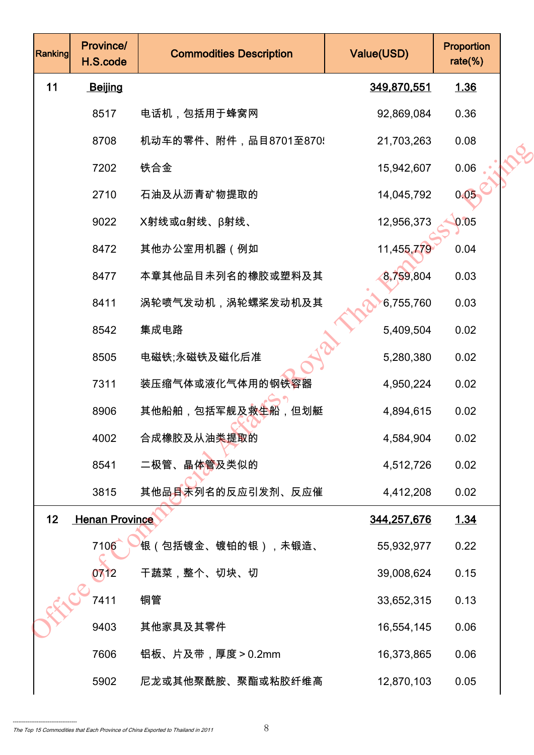| Ranking | <b>Province/</b><br>H.S.code | <b>Commodities Description</b>   | Value(USD)         | Proportion<br>$rate$ %) |  |
|---------|------------------------------|----------------------------------|--------------------|-------------------------|--|
| 11      | Beijing                      |                                  | 349,870,551        | <u>1.36</u>             |  |
|         | 8517                         | 电话机,包括用于蜂窝网                      | 92,869,084         | 0.36                    |  |
|         | 8708                         | 机动车的零件、附件,品目8701至870!            | 21,703,263         | 0.08                    |  |
|         | 7202                         | 铁合金                              | 15,942,607         | 0.06                    |  |
|         | 2710                         | 石油及从沥青矿物提取的                      | 14,045,792         | 0.05                    |  |
|         | 9022                         | X射线或α射线、β射线、                     | 12,956,373         | 0.05                    |  |
|         | 8472                         | 其他办公室用机器(例如                      | 11,455,779         | 0.04                    |  |
|         | 8477                         | 本章其他品目未列名的橡胶或塑料及其                | 8,759,804          | 0.03                    |  |
|         | 8411                         | 涡轮喷气发动机,涡轮螺桨发动机及其                | 6,755,760          | 0.03                    |  |
|         | 8542                         | 集成电路                             | 5,409,504          | 0.02                    |  |
|         | 8505                         | 电磁铁;永磁铁及磁化后准                     | 5,280,380          | 0.02                    |  |
|         | 7311                         | 装压缩气体或液化气体用的钢铁容器                 | 4,950,224          | 0.02                    |  |
|         | 8906                         | 其他船舶,包括军舰及救 <mark>生</mark> 船,但划艇 | 4,894,615          | 0.02                    |  |
|         | 4002                         | 合成橡胶及从油类提取的                      | 4,584,904          | 0.02                    |  |
|         | 8541                         | 二极管、晶体 <mark>管</mark> 及类似的       | 4,512,726          | 0.02                    |  |
|         | 3815                         | 其他品目未列名的反应引发剂、反应催                | 4,412,208          | 0.02                    |  |
| 12      | <b>Henan Province</b>        |                                  | <u>344,257,676</u> | <u>1.34</u>             |  |
|         | 7106                         | <sup>'</sup> 银(包括镀金、镀铂的银),未锻造、   | 55,932,977         | 0.22                    |  |
|         | 0712                         | 干蔬菜,整个、切块、切                      | 39,008,624         | 0.15                    |  |
|         | 7411                         | 铜管                               | 33,652,315         | 0.13                    |  |
|         | 9403                         | 其他家具及其零件                         | 16,554,145         | 0.06                    |  |
|         | 7606                         | 铝板、片及带,厚度>0.2mm                  | 16,373,865         | 0.06                    |  |
|         | 5902                         | 尼龙或其他聚酰胺、聚酯或粘胶纤维高                | 12,870,103         | 0.05                    |  |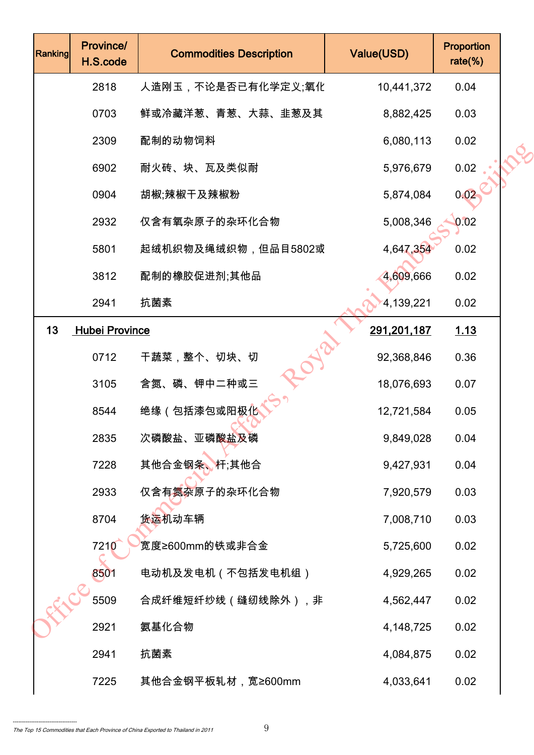| Ranking | Province/<br>H.S.code | <b>Commodities Description</b> | Value(USD)  | Proportion<br>$rate$ %) |  |
|---------|-----------------------|--------------------------------|-------------|-------------------------|--|
|         | 2818                  | 人造刚玉,不论是否已有化学定义;氧化             | 10,441,372  | 0.04                    |  |
|         | 0703                  | 鲜或冷藏洋葱、青葱、大蒜、韭葱及其              | 8,882,425   | 0.03                    |  |
|         | 2309                  | 配制的动物饲料                        | 6,080,113   | 0.02                    |  |
|         | 6902                  | 耐火砖、块、瓦及类似耐                    | 5,976,679   | 0.02                    |  |
|         | 0904                  | 胡椒;辣椒干及辣椒粉                     | 5,874,084   | 0.02                    |  |
|         | 2932                  | 仅含有氧杂原子的杂环化合物                  | 5,008,346   | 0.02                    |  |
|         | 5801                  | 起绒机织物及绳绒织物,但品目5802或            | 4,647,354   | 0.02                    |  |
|         | 3812                  | 配制的橡胶促进剂;其他品                   | 4,609,666   | 0.02                    |  |
|         | 2941                  | 抗菌素                            | 4,139,221   | 0.02                    |  |
| 13      | <b>Hubei Province</b> |                                | 291,201,187 | 1.13                    |  |
|         | 0712                  | 干蔬菜,整个、切块、切                    | 92,368,846  | 0.36                    |  |
|         | 3105                  | 含氮、磷、钾中二种或三                    | 18,076,693  | 0.07                    |  |
|         | 8544                  | 绝缘(包括漆包或阳极 <u>化</u>            | 12,721,584  | 0.05                    |  |
|         | 2835                  | 次磷酸盐、亚磷酸盐及磷                    | 9,849,028   | 0.04                    |  |
|         | 7228                  | 其他合金钢条、杆;其他合                   | 9,427,931   | 0.04                    |  |
|         | 2933                  | 仅含有氮杂原子的杂环化合物                  | 7,920,579   | 0.03                    |  |
|         | 8704                  | 货运机动车辆                         | 7,008,710   | 0.03                    |  |
|         | 7210                  | 宽度≥600mm的铁或非合金                 | 5,725,600   | 0.02                    |  |
|         | 8501                  | 电动机及发电机(不包括发电机组)               | 4,929,265   | 0.02                    |  |
|         | 5509                  | 合成纤维短纤纱线(缝纫线除外),非              | 4,562,447   | 0.02                    |  |
|         | 2921                  | 氨基化合物                          | 4,148,725   | 0.02                    |  |
|         | 2941                  | 抗菌素                            | 4,084,875   | 0.02                    |  |
|         | 7225                  | 其他合金钢平板轧材,宽≥600mm              | 4,033,641   | 0.02                    |  |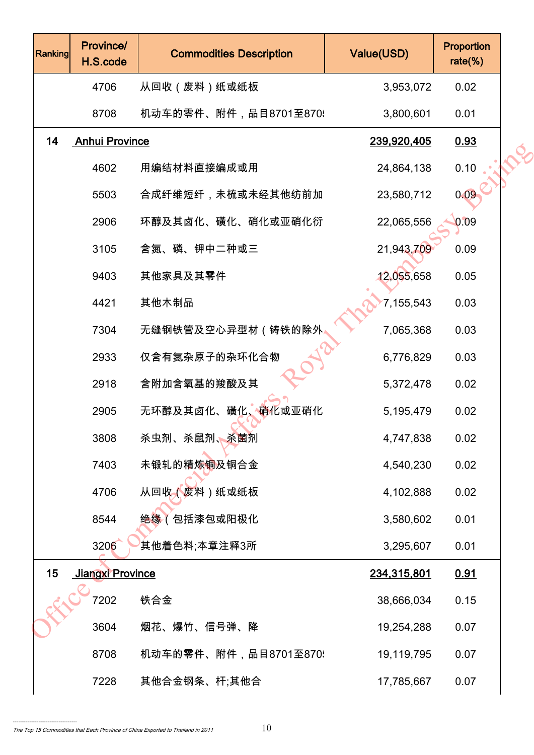| Ranking | Province/<br>H.S.code   | <b>Commodities Description</b> | Value(USD)  | Proportion<br>$rate$ %) |  |
|---------|-------------------------|--------------------------------|-------------|-------------------------|--|
|         | 4706                    | 从回收 (废料)纸或纸板                   | 3,953,072   | 0.02                    |  |
|         | 8708                    | 机动车的零件、附件,品目8701至870!          | 3,800,601   | 0.01                    |  |
| 14      | <b>Anhui Province</b>   |                                | 239,920,405 | 0.93                    |  |
|         | 4602                    | 用编结材料直接编成或用                    | 24,864,138  | 0.10                    |  |
|         | 5503                    | 合成纤维短纤,未梳或未经其他纺前加              | 23,580,712  | 0.09                    |  |
|         | 2906                    | 环醇及其卤化、磺化、硝化或亚硝化衍              | 22,065,556  | 0.09                    |  |
|         | 3105                    | 含氮、磷、钾中二种或三                    | 21,943,709  | 0.09                    |  |
|         | 9403                    | 其他家具及其零件                       | 12,055,658  | 0.05                    |  |
|         | 4421                    | 其他木制品                          | 7,155,543   | 0.03                    |  |
|         | 7304                    | 无缝钢铁管及空心异型材(铸铁的除外              | 7,065,368   | 0.03                    |  |
|         | 2933                    | 仅含有氮杂原子的杂环化合物                  | 6,776,829   | 0.03                    |  |
|         | 2918                    | 含附加含氧基的羧酸及其                    | 5,372,478   | 0.02                    |  |
|         | 2905                    | 无环醇及其卤化、磺化、硝化或亚硝化              | 5,195,479   | 0.02                    |  |
|         | 3808                    | 杀虫剂、杀鼠剂、杀菌剂                    | 4,747,838   | 0.02                    |  |
|         | 7403                    | 未锻轧的精炼铜及铜合金                    | 4,540,230   | 0.02                    |  |
|         | 4706                    | 从回收(废料)纸或纸板                    | 4,102,888   | 0.02                    |  |
|         | 8544                    | 绝缘(包括漆包或阳极化                    | 3,580,602   | 0.01                    |  |
|         | 3206                    | 其他着色料;本章注释3所                   | 3,295,607   | 0.01                    |  |
| 15      | <b>Jiangxi Province</b> |                                | 234,315,801 | 0.91                    |  |
|         | 7202                    | 铁合金                            | 38,666,034  | 0.15                    |  |
|         | 3604                    | 烟花、爆竹、信号弹、降                    | 19,254,288  | 0.07                    |  |
|         | 8708                    | 机动车的零件、附件,品目8701至870!          | 19,119,795  | 0.07                    |  |
|         | 7228                    | 其他合金钢条、杆;其他合                   | 17,785,667  | 0.07                    |  |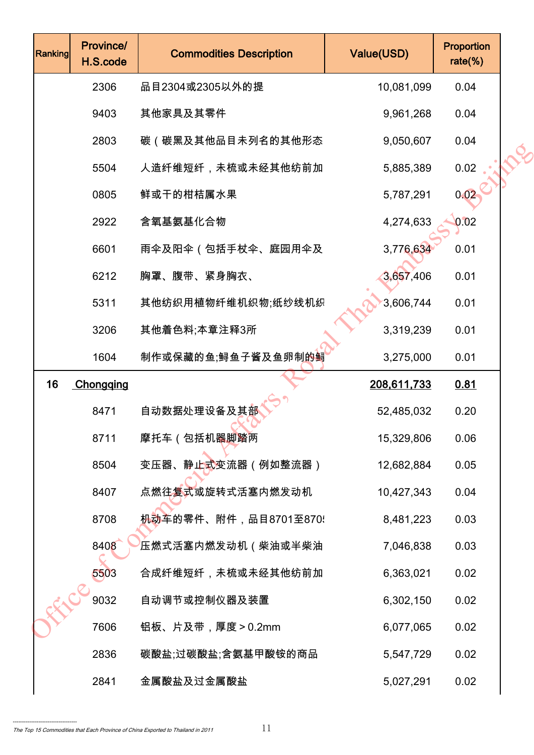| Ranking | Province/<br>H.S.code | <b>Commodities Description</b>                | Value(USD)  | Proportion<br>rate $(\%)$ |  |
|---------|-----------------------|-----------------------------------------------|-------------|---------------------------|--|
|         | 2306                  | 品目2304或2305以外的提                               | 10,081,099  | 0.04                      |  |
|         | 9403                  | 其他家具及其零件                                      | 9,961,268   | 0.04                      |  |
|         | 2803                  | 碳(碳黑及其他品目未列名的其他形态                             | 9,050,607   | 0.04                      |  |
|         | 5504                  | 人造纤维短纤,未梳或未经其他纺前加                             | 5,885,389   | 0.02                      |  |
|         | 0805                  | 鲜或干的柑桔属水果                                     | 5,787,291   | 0.02                      |  |
|         | 2922                  | 含氧基氨基化合物                                      | 4,274,633   | 0.02                      |  |
|         | 6601                  | 雨伞及阳伞(包括手杖伞、庭园用伞及                             | 3,776,634   | 0.01                      |  |
|         | 6212                  | 胸罩、腹带、紧身胸衣、                                   | 3,657,406   | 0.01                      |  |
|         | 5311                  | 其他纺织用植物纤维机织物;纸纱线机织                            | 3,606,744   | 0.01                      |  |
|         | 3206                  | 其他着色料;本章注释3所                                  | 3,319,239   | 0.01                      |  |
|         | 1604                  | 制作或保藏的鱼;鲟鱼子酱及鱼卵制 <u>的</u> 鲟                   | 3,275,000   | 0.01                      |  |
| 16      | Chongqing             |                                               | 208,611,733 | 0.81                      |  |
|         | 8471                  | 自动数据处理设备及其部                                   | 52,485,032  | 0.20                      |  |
|         | 8711                  | 摩托车(包括机器脚踏两                                   | 15,329,806  | 0.06                      |  |
|         | 8504                  | 变压器、静止式变流器(例如整流器)                             | 12,682,884  | 0.05                      |  |
|         | 8407                  | 点燃往复式或旋转式活塞内燃发动机                              | 10,427,343  | 0.04                      |  |
|         | 8708                  | <del>机动</del> 车的零件、附件,品目8701至870 <del>.</del> | 8,481,223   | 0.03                      |  |
|         | 8408                  | 压燃式活塞内燃发动机(柴油或半柴油                             | 7,046,838   | 0.03                      |  |
|         | 5503                  | 合成纤维短纤,未梳或未经其他纺前加                             | 6,363,021   | 0.02                      |  |
|         | 9032                  | 自动调节或控制仪器及装置                                  | 6,302,150   | 0.02                      |  |
|         | 7606                  | 铝板、片及带,厚度>0.2mm                               | 6,077,065   | 0.02                      |  |
|         | 2836                  | 碳酸盐;过碳酸盐;含氨基甲酸铵的商品                            | 5,547,729   | 0.02                      |  |
|         | 2841                  | 金属酸盐及过金属酸盐                                    | 5,027,291   | 0.02                      |  |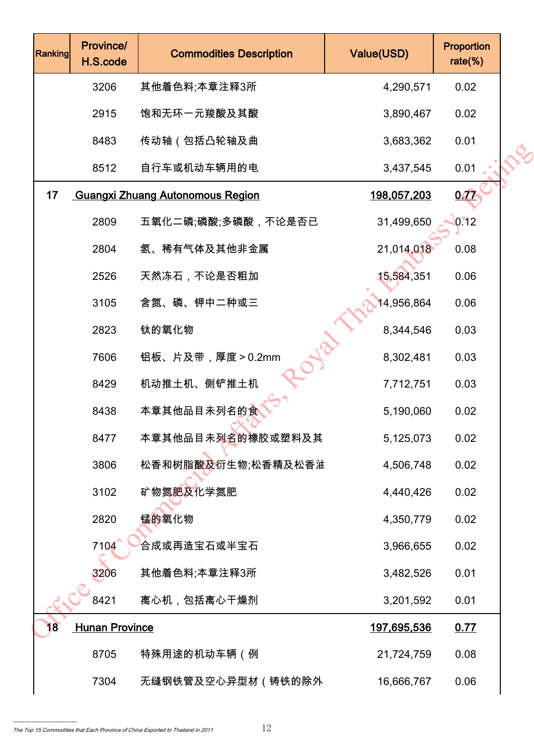| <b>Ranking</b> | Province/<br>H.S.code | <b>Commodities Description</b>          | Value(USD)         | <b>Proportion</b><br>$rate$ %) |  |
|----------------|-----------------------|-----------------------------------------|--------------------|--------------------------------|--|
|                | 3206                  | 其他着色料;本章注释3所                            | 4,290,571          | 0.02                           |  |
|                | 2915                  | 饱和无环一元羧酸及其酸                             | 3,890,467          | 0.02                           |  |
|                | 8483                  | 传动轴(包括凸轮轴及曲                             | 3,683,362          | 0.01                           |  |
|                | 8512                  | 自行车或机动车辆用的电                             | 3,437,545          | 0.01                           |  |
| 17             |                       | <b>Guangxi Zhuang Autonomous Region</b> | 198,057,203        | <u>0.77</u>                    |  |
|                | 2809                  | 五氧化二磷;磷酸;多磷酸,不论是否已                      | 31,499,650         | 0.12                           |  |
|                | 2804                  | 氢、稀有气体及其他非金属                            | 21,014,018         | 0.08                           |  |
|                | 2526                  | 天然冻石,不论是否粗加                             | 15,584,351         | 0.06                           |  |
|                | 3105                  | 含氮、磷、钾中二种或三                             | 14,956,864         | 0.06                           |  |
|                | 2823                  | 钛的氧化物                                   | 8,344,546          | 0.03                           |  |
|                | 7606                  | 铝板、片及带,厚度>0.2mm                         | 8,302,481          | 0.03                           |  |
|                | 8429                  | 机动推土机、侧铲推土机                             | 7,712,751          | 0.03                           |  |
|                | 8438                  | 本章其他品目未列名的食                             | 5,190,060          | 0.02                           |  |
|                | 8477                  | 本章其他品目未列名的橡胶或塑料及其                       | 5,125,073          | 0.02                           |  |
|                | 3806                  | 松香和树脂酸及衍生物;松香精及松香油                      | 4,506,748          | 0.02                           |  |
|                | 3102                  | 矿物氮肥及化学氮肥                               | 4,440,426          | 0.02                           |  |
|                | 2820                  | 锰的氧化物                                   | 4,350,779          | 0.02                           |  |
|                | 7104                  | 合成或再造宝石或半宝石                             | 3,966,655          | 0.02                           |  |
|                | 3206                  | 其他着色料;本章注释3所                            | 3,482,526          | 0.01                           |  |
|                | 8421                  | 离心机,包括离心干燥剂                             | 3,201,592          | 0.01                           |  |
| 18             | <b>Hunan Province</b> |                                         | <u>197,695,536</u> | 0.77                           |  |
|                | 8705                  | 特殊用途的机动车辆(例                             | 21,724,759         | 0.08                           |  |
|                | 7304                  | 无缝钢铁管及空心异型材(铸铁的除外                       | 16,666,767         | 0.06                           |  |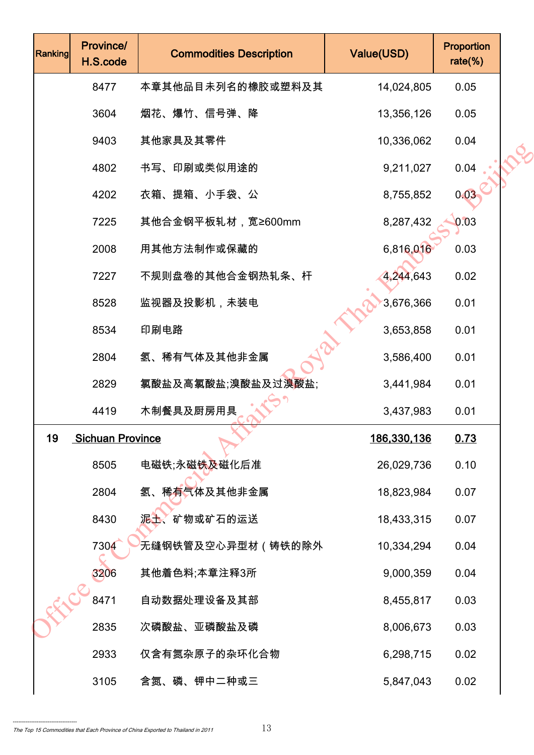| <b>Ranking</b> | Province/<br>H.S.code   | <b>Commodities Description</b> | Value(USD)  | <b>Proportion</b><br>$rate$ %) |  |
|----------------|-------------------------|--------------------------------|-------------|--------------------------------|--|
|                | 8477                    | 本章其他品目未列名的橡胶或塑料及其              | 14,024,805  | 0.05                           |  |
|                | 3604                    | 烟花、爆竹、信号弹、降                    | 13,356,126  | 0.05                           |  |
|                | 9403                    | 其他家具及其零件                       | 10,336,062  | 0.04                           |  |
|                | 4802                    | 书写、印刷或类似用途的                    | 9,211,027   | 0.04                           |  |
|                | 4202                    | 衣箱、提箱、小手袋、公                    | 8,755,852   | 0.03                           |  |
|                | 7225                    | 其他合金钢平板轧材,宽≥600mm              | 8,287,432   | 0.03                           |  |
|                | 2008                    | 用其他方法制作或保藏的                    | 6,816,016   | 0.03                           |  |
|                | 7227                    | 不规则盘卷的其他合金钢热轧条、杆               | 4,244,643   | 0.02                           |  |
|                | 8528                    | 监视器及投影机,未装电                    | 3,676,366   | 0.01                           |  |
|                | 8534                    | 印刷电路                           | 3,653,858   | 0.01                           |  |
|                | 2804                    | 氢、稀有气体及其他非金属                   | 3,586,400   | 0.01                           |  |
|                | 2829                    | 氯酸盐及高氯酸盐;溴酸盐及过溴酸盐;             | 3,441,984   | 0.01                           |  |
|                | 4419                    | 木制餐具及厨房用具                      | 3,437,983   | 0.01                           |  |
| 19             | <b>Sichuan Province</b> |                                | 186,330,136 | 0.73                           |  |
|                | 8505                    | 电磁铁;永磁铁及磁化后准                   | 26,029,736  | 0.10                           |  |
|                | 2804                    | 氢、稀有气体及其他非金属                   | 18,823,984  | 0.07                           |  |
|                | 8430                    | 泥土、矿物或矿石的运送                    | 18,433,315  | 0.07                           |  |
|                | 7304                    | 无缝钢铁管及空心异型材(铸铁的除外              | 10,334,294  | 0.04                           |  |
|                | 3206                    | 其他着色料;本章注释3所                   | 9,000,359   | 0.04                           |  |
|                | 8471                    | 自动数据处理设备及其部                    | 8,455,817   | 0.03                           |  |
|                | 2835                    | 次磷酸盐、亚磷酸盐及磷                    | 8,006,673   | 0.03                           |  |
|                | 2933                    | 仅含有氮杂原子的杂环化合物                  | 6,298,715   | 0.02                           |  |
|                | 3105                    | 含氮、磷、钾中二种或三                    | 5,847,043   | 0.02                           |  |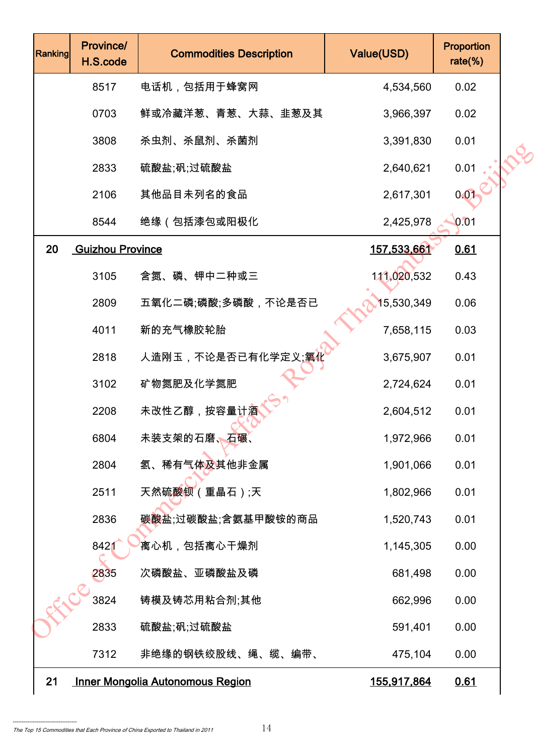| Ranking | Province/<br>H.S.code   | <b>Commodities Description</b>          | Value(USD)         | Proportion<br>$rate$ %) |  |
|---------|-------------------------|-----------------------------------------|--------------------|-------------------------|--|
|         | 8517                    | 电话机,包括用于蜂窝网                             | 4,534,560          | 0.02                    |  |
|         | 0703                    | 鲜或冷藏洋葱、青葱、大蒜、韭葱及其                       | 3,966,397          | 0.02                    |  |
|         | 3808                    | 杀虫剂、杀鼠剂、杀菌剂                             | 3,391,830          | 0.01                    |  |
|         | 2833                    | 硫酸盐;矾;过硫酸盐                              | 2,640,621          | 0.01                    |  |
|         | 2106                    | 其他品目未列名的食品                              | 2,617,301          | 0.01                    |  |
|         | 8544                    | 绝缘(包括漆包或阳极化                             | 2,425,978          | 0.01                    |  |
| 20      | <b>Guizhou Province</b> |                                         | 157,533,661        | 0.61                    |  |
|         | 3105                    | 含氮、磷、钾中二种或三                             | 111,020,532        | 0.43                    |  |
|         | 2809                    | 五氧化二磷;磷酸;多磷酸,不论是否已                      | 15,530,349         | 0.06                    |  |
|         | 4011                    | 新的充气橡胶轮胎                                | 7,658,115          | 0.03                    |  |
|         | 2818                    | 人造刚玉,不论是否已有化学定义; <mark>氧</mark> {       | 3,675,907          | 0.01                    |  |
|         | 3102                    | 矿物氮肥及化学氮肥                               | 2,724,624          | 0.01                    |  |
|         | 2208                    | 未改性乙醇,按容量计酒                             | 2,604,512          | 0.01                    |  |
|         | 6804                    | 未装支架的石磨、石碾、                             | 1,972,966          | 0.01                    |  |
|         | 2804                    | 氢、稀有气体及其他非金属                            | 1,901,066          | 0.01                    |  |
|         | 2511                    | 天然硫酸钡(重晶石);天                            | 1,802,966          | 0.01                    |  |
|         | 2836                    | 碳酸盐;过碳酸盐;含氨基甲酸铵的商品                      | 1,520,743          | 0.01                    |  |
|         | 8421                    | 离心机,包括离心干燥剂                             | 1,145,305          | 0.00                    |  |
|         | 2835                    | 次磷酸盐、亚磷酸盐及磷                             | 681,498            | 0.00                    |  |
|         | 3824                    | 铸模及铸芯用粘合剂;其他                            | 662,996            | 0.00                    |  |
|         | 2833                    | 硫酸盐;矾;过硫酸盐                              | 591,401            | 0.00                    |  |
|         | 7312                    | 非绝缘的钢铁绞股线、绳、缆、编带、                       | 475,104            | 0.00                    |  |
| 21      |                         | <b>Inner Mongolia Autonomous Region</b> | <u>155,917,864</u> | 0.61                    |  |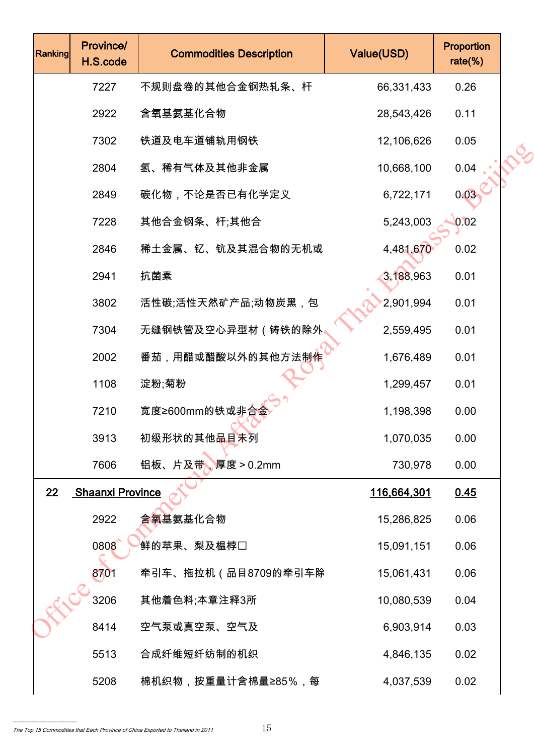| <b>Ranking</b> | Province/<br>H.S.code   | <b>Commodities Description</b> | Value(USD)         | <b>Proportion</b><br>$rate$ %) |  |
|----------------|-------------------------|--------------------------------|--------------------|--------------------------------|--|
|                | 7227                    | 不规则盘卷的其他合金钢热轧条、杆               | 66,331,433         | 0.26                           |  |
|                | 2922                    | 含氧基氨基化合物                       | 28,543,426         | 0.11                           |  |
|                | 7302                    | 铁道及电车道铺轨用钢铁                    | 12,106,626         | 0.05                           |  |
|                | 2804                    | 氢、稀有气体及其他非金属                   | 10,668,100         | 0.04                           |  |
|                | 2849                    | 碳化物,不论是否已有化学定义                 | 6,722,171          | 0.03                           |  |
|                | 7228                    | 其他合金钢条、杆;其他合                   | 5,243,003          | 0.02                           |  |
|                | 2846                    | 稀土金属、钇、钪及其混合物的无机或              | 4,481,670          | 0.02                           |  |
|                | 2941                    | 抗菌素                            | 3,188,963          | 0.01                           |  |
|                | 3802                    | 活性碳;活性天然矿产品;动物炭黑,包             | 2,901,994          | 0.01                           |  |
|                | 7304                    | 无缝钢铁管及空心异型材(铸铁的除外              | 2,559,495          | 0.01                           |  |
|                | 2002                    | 番茄,用醋或醋酸以外的其他方法制作              | 1,676,489          | 0.01                           |  |
|                | 1108                    | 淀粉;菊粉                          | 1,299,457          | 0.01                           |  |
|                | 7210                    | 宽度≥600mm的铁或非合                  | 1,198,398          | 0.00                           |  |
|                | 3913                    | 初级形状的其他品目未列                    | 1,070,035          | 0.00                           |  |
|                | 7606                    | 铝板、片及带、厚度 > 0.2mm              | 730,978            | 0.00                           |  |
| 22             | <b>Shaanxi Province</b> |                                | <u>116,664,301</u> | 0.45                           |  |
|                | 2922                    | 含氧基氨基化合物                       | 15,286,825         | 0.06                           |  |
|                | 0808                    | 鲜的苹果、梨及榅桲□                     | 15,091,151         | 0.06                           |  |
|                | 8701                    | 牵引车、拖拉机(品目8709的牵引车除            | 15,061,431         | 0.06                           |  |
|                | 3206                    | 其他着色料;本章注释3所                   | 10,080,539         | 0.04                           |  |
|                | 8414                    | 空气泵或真空泵、空气及                    | 6,903,914          | 0.03                           |  |
|                | 5513                    | 合成纤维短纤纺制的机织                    | 4,846,135          | 0.02                           |  |
|                | 5208                    | 棉机织物,按重量计含棉量≥85%,每             | 4,037,539          | 0.02                           |  |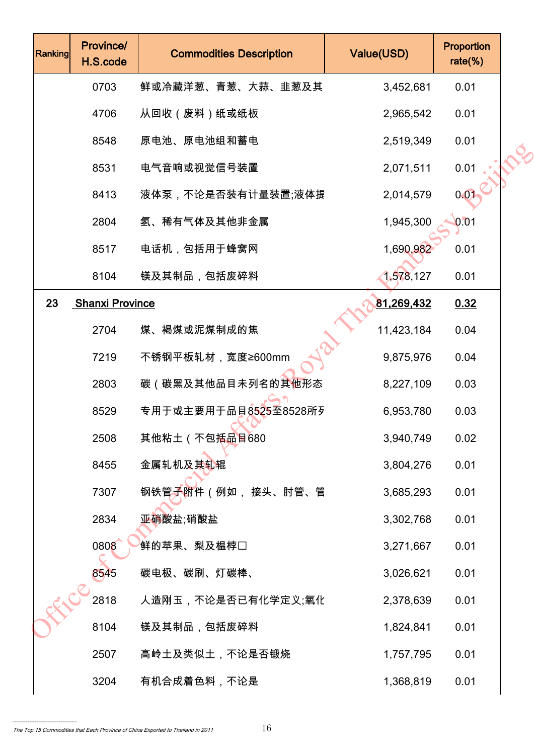| Ranking | Province/<br>H.S.code  | <b>Commodities Description</b> | Value(USD) | Proportion<br>$rate$ %) |  |
|---------|------------------------|--------------------------------|------------|-------------------------|--|
|         | 0703                   | 鲜或冷藏洋葱、青葱、大蒜、韭葱及其              | 3,452,681  | 0.01                    |  |
|         | 4706                   | 从回收(废料)纸或纸板                    | 2,965,542  | 0.01                    |  |
|         | 8548                   | 原电池、原电池组和蓄电                    | 2,519,349  | 0.01                    |  |
|         | 8531                   | 电气音响或视觉信号装置                    | 2,071,511  | 0.01                    |  |
|         | 8413                   | 液体泵,不论是否装有计量装置;液体提             | 2,014,579  | 0.01                    |  |
|         | 2804                   | 氢、稀有气体及其他非金属                   | 1,945,300  | 0.01                    |  |
|         | 8517                   | 电话机,包括用于蜂窝网                    | 1,690,982  | 0.01                    |  |
|         | 8104                   | 镁及其制品,包括废碎料                    | 1,578,127  | 0.01                    |  |
| 23      | <b>Shanxi Province</b> |                                | 81,269,432 | 0.32                    |  |
|         | 2704                   | 煤、褐煤或泥煤制成的焦                    | 11,423,184 | 0.04                    |  |
|         | 7219                   | 不锈钢平板轧材,宽度≥600mm               | 9,875,976  | 0.04                    |  |
|         | 2803                   | 碳(碳黑及其他品目未列名的其他形态              | 8,227,109  | 0.03                    |  |
|         | 8529                   | 专用于或主要用于品目8525至8528所列          | 6,953,780  | 0.03                    |  |
|         | 2508                   | 其他粘土(不包括品目680                  | 3,940,749  | 0.02                    |  |
|         | 8455                   | 金属轧机及其轧辊                       | 3,804,276  | 0.01                    |  |
|         | 7307                   | 钢铁管子附件(例如, 接头、肘管、管             | 3,685,293  | 0.01                    |  |
|         | 2834                   | 亚硝酸盐 硝酸盐                       | 3,302,768  | 0.01                    |  |
|         | 0808                   | 鲜的苹果、梨及榅桲□                     | 3,271,667  | 0.01                    |  |
|         | 8545                   | 碳电极、碳刷、灯碳棒、                    | 3,026,621  | 0.01                    |  |
|         | 2818                   | 人造刚玉,不论是否已有化学定义;氧化             | 2,378,639  | 0.01                    |  |
|         | 8104                   | 镁及其制品,包括废碎料                    | 1,824,841  | 0.01                    |  |
|         | 2507                   | 高岭土及类似土,不论是否锻烧                 | 1,757,795  | 0.01                    |  |
|         | 3204                   | 有机合成着色料,不论是                    | 1,368,819  | 0.01                    |  |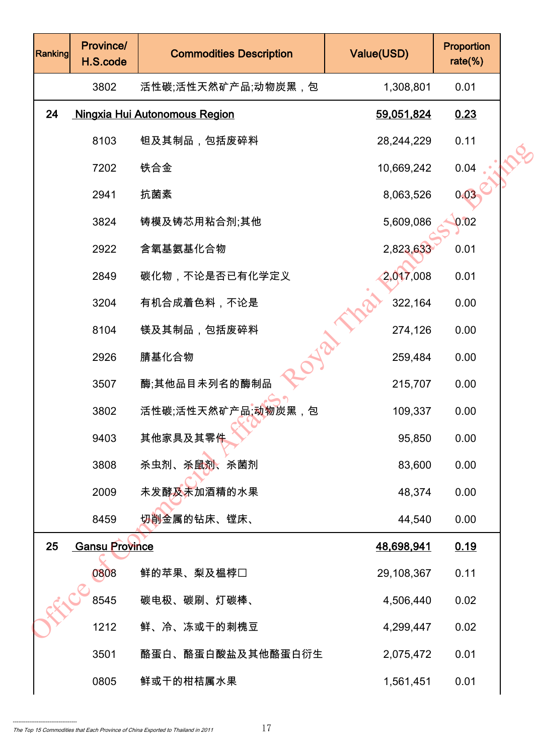| Ranking | Province/<br>H.S.code | <b>Commodities Description</b>       | Value(USD) | Proportion<br>$rate$ %) |  |
|---------|-----------------------|--------------------------------------|------------|-------------------------|--|
|         | 3802                  | 活性碳;活性天然矿产品;动物炭黑,包                   | 1,308,801  | 0.01                    |  |
| 24      |                       | <b>Ningxia Hui Autonomous Region</b> | 59,051,824 | 0.23                    |  |
|         | 8103                  | 钽及其制品,包括废碎料                          | 28,244,229 | 0.11                    |  |
|         | 7202                  | 铁合金                                  | 10,669,242 | 0.04                    |  |
|         | 2941                  | 抗菌素                                  | 8,063,526  | 0.03                    |  |
|         | 3824                  | 铸模及铸芯用粘合剂;其他                         | 5,609,086  | 0.02                    |  |
|         | 2922                  | 含氧基氨基化合物                             | 2,823,633  | 0.01                    |  |
|         | 2849                  | 碳化物,不论是否已有化学定义                       | 2,017,008  | 0.01                    |  |
|         | 3204                  | 有机合成着色料,不论是                          | 322,164    | 0.00                    |  |
|         | 8104                  | 镁及其制品,包括废碎料                          | 274,126    | 0.00                    |  |
|         | 2926                  | 腈基化合物                                | 259,484    | 0.00                    |  |
|         | 3507                  | 酶;其他品目未列名的酶制品                        | 215,707    | 0.00                    |  |
|         | 3802                  | 活性碳;活性天然矿产品;动物炭黑,包                   | 109,337    | 0.00                    |  |
|         | 9403                  | 其他家具及其零件                             | 95,850     | 0.00                    |  |
|         | 3808                  | 杀虫剂、杀鼠剂、杀菌剂                          | 83,600     | 0.00                    |  |
|         | 2009                  | 未发酵及未加酒精的水果                          | 48,374     | 0.00                    |  |
|         | 8459                  | <mark>切削金属的钻床、镗床、</mark>             | 44,540     | 0.00                    |  |
| 25      | <b>Gansu Province</b> |                                      | 48,698,941 | 0.19                    |  |
|         | 0808                  | 鲜的苹果、梨及榅桲囗                           | 29,108,367 | 0.11                    |  |
|         | 8545                  | 碳电极、碳刷、灯碳棒、                          | 4,506,440  | 0.02                    |  |
|         | 1212                  | 鲜、冷、冻或干的刺槐豆                          | 4,299,447  | 0.02                    |  |
|         | 3501                  | 酪蛋白、酪蛋白酸盐及其他酪蛋白衍生                    | 2,075,472  | 0.01                    |  |
|         | 0805                  | 鲜或干的柑桔属水果                            | 1,561,451  | 0.01                    |  |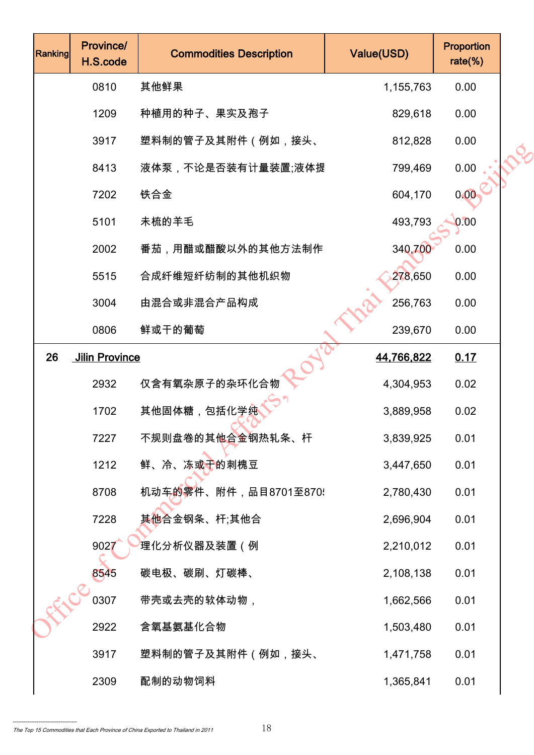| Ranking | Province/<br>H.S.code | <b>Commodities Description</b> | Value(USD) | Proportion<br>$rate$ %) |  |
|---------|-----------------------|--------------------------------|------------|-------------------------|--|
|         | 0810                  | 其他鲜果                           | 1,155,763  | 0.00                    |  |
|         | 1209                  | 种植用的种子、果实及孢子                   | 829,618    | 0.00                    |  |
|         | 3917                  | 塑料制的管子及其附件(例如,接头、              | 812,828    | 0.00                    |  |
|         | 8413                  | 液体泵,不论是否装有计量装置;液体提             | 799,469    | 0.00                    |  |
|         | 7202                  | 铁合金                            | 604,170    | 0.00                    |  |
|         | 5101                  | 未梳的羊毛                          | 493,793    | 0.00                    |  |
|         | 2002                  | 番茄,用醋或醋酸以外的其他方法制作              | 340,700    | 0.00                    |  |
|         | 5515                  | 合成纤维短纤纺制的其他机织物                 | 278,650    | 0.00                    |  |
|         | 3004                  | 由混合或非混合产品构成                    | 256,763    | 0.00                    |  |
|         | 0806                  | 鲜或干的葡萄                         | 239,670    | 0.00                    |  |
| 26      | <b>Jilin Province</b> |                                | 44,766,822 | 0.17                    |  |
|         | 2932                  | 仅含有氧杂原子的杂环化合物                  | 4,304,953  | 0.02                    |  |
|         | 1702                  | 其他固体糖,包括化学纯                    | 3,889,958  | 0.02                    |  |
|         | 7227                  | 不规则盘卷的其他合金钢热轧条、杆               | 3,839,925  | 0.01                    |  |
|         | 1212                  | 鲜、冷、冻或干的刺槐豆                    | 3,447,650  | 0.01                    |  |
|         | 8708                  | 机动车的零件、附件,品目8701至870!          | 2,780,430  | 0.01                    |  |
|         | 7228                  | 其他合金钢条、杆;其他合                   | 2,696,904  | 0.01                    |  |
|         | 9027                  | <sup>'</sup> 理化分析仪器及装置(例       | 2,210,012  | 0.01                    |  |
|         | 8545                  | 碳电极、碳刷、灯碳棒、                    | 2,108,138  | 0.01                    |  |
|         | 0307                  | 带壳或去壳的软体动物,                    | 1,662,566  | 0.01                    |  |
|         | 2922                  | 含氧基氨基化合物                       | 1,503,480  | 0.01                    |  |
|         | 3917                  | 塑料制的管子及其附件(例如,接头、              | 1,471,758  | 0.01                    |  |
|         | 2309                  | 配制的动物饲料                        | 1,365,841  | 0.01                    |  |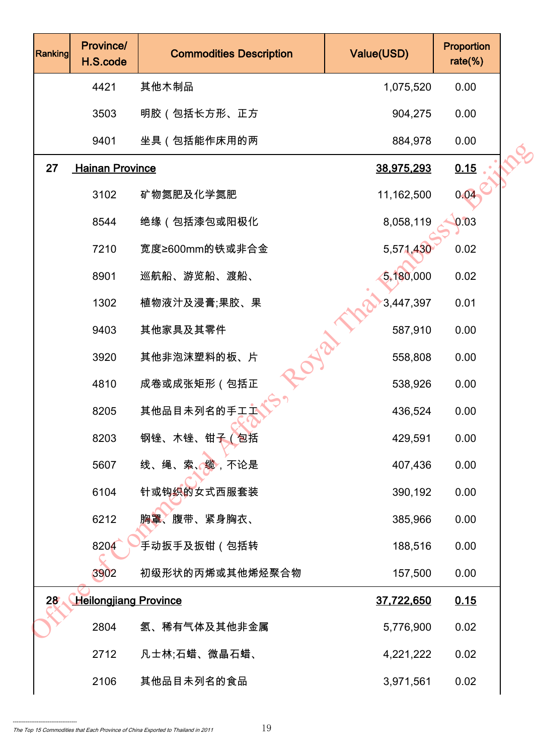| Ranking         | Province/<br>H.S.code        | <b>Commodities Description</b> | Value(USD)        | Proportion<br>$rate$ %) |  |
|-----------------|------------------------------|--------------------------------|-------------------|-------------------------|--|
|                 | 4421                         | 其他木制品                          | 1,075,520         | 0.00                    |  |
|                 | 3503                         | 明胶(包括长方形、正方                    | 904,275           | 0.00                    |  |
|                 | 9401                         | 坐具(包括能作床用的两                    | 884,978           | 0.00                    |  |
| 27              | <b>Hainan Province</b>       |                                | 38,975,293        | 0.15                    |  |
|                 | 3102                         | 矿物氮肥及化学氮肥                      | 11,162,500        | 0.04                    |  |
|                 | 8544                         | 绝缘(包括漆包或阳极化                    | 8,058,119         | 0.03                    |  |
|                 | 7210                         | 宽度≥600mm的铁或非合金                 | 5,571,430         | 0.02                    |  |
|                 | 8901                         | 巡航船、游览船、渡船、                    | 5,180,000         | 0.02                    |  |
|                 | 1302                         | 植物液汁及浸膏;果胶、果                   | 3,447,397         | 0.01                    |  |
|                 | 9403                         | 其他家具及其零件                       | 587,910           | 0.00                    |  |
|                 | 3920                         | olo<br>其他非泡沫塑料的板、片             | 558,808           | 0.00                    |  |
|                 | 4810                         | 成卷或成张矩形(包括正                    | 538,926           | 0.00                    |  |
|                 | 8205                         | 其他品目未列名的手工工                    | 436,524           | 0.00                    |  |
|                 | 8203                         | 钢锉、木锉、钳子 (包括                   | 429,591           | 0.00                    |  |
|                 | 5607                         | 线、绳、索、缆,不论是                    | 407,436           | 0.00                    |  |
|                 | 6104                         | 针或钩织的女式西服套装                    | 390,192           | 0.00                    |  |
|                 | 6212                         | 胸罩、腹带、紧身胸衣、                    | 385,966           | 0.00                    |  |
|                 | 8204                         | <sup>'</sup> 手动扳手及扳钳(包括转       | 188,516           | 0.00                    |  |
|                 | 3902                         | 初级形状的丙烯或其他烯烃聚合物                | 157,500           | 0.00                    |  |
| 28 <sub>1</sub> | <b>Heilongjiang Province</b> |                                | <u>37,722,650</u> | 0.15                    |  |
|                 | 2804                         | 氢、稀有气体及其他非金属                   | 5,776,900         | 0.02                    |  |
|                 | 2712                         | 凡士林;石蜡、微晶石蜡、                   | 4,221,222         | 0.02                    |  |
|                 | 2106                         | 其他品目未列名的食品                     | 3,971,561         | 0.02                    |  |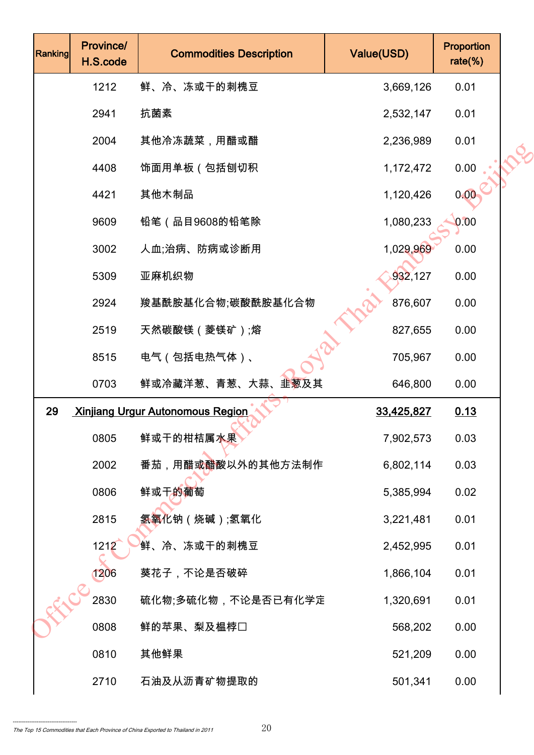| <b>Ranking</b> | Province/<br>H.S.code | <b>Commodities Description</b>          | Value(USD) | Proportion<br>$rate$ %) |  |
|----------------|-----------------------|-----------------------------------------|------------|-------------------------|--|
|                | 1212                  | 鲜、冷、冻或干的刺槐豆                             | 3,669,126  | 0.01                    |  |
|                | 2941                  | 抗菌素                                     | 2,532,147  | 0.01                    |  |
|                | 2004                  | 其他冷冻蔬菜,用醋或醋                             | 2,236,989  | 0.01                    |  |
|                | 4408                  | 饰面用单板(包括刨切积                             | 1,172,472  | 0.00                    |  |
|                | 4421                  | 其他木制品                                   | 1,120,426  | 0.00                    |  |
|                | 9609                  | 铅笔(品目9608的铅笔除                           | 1,080,233  | 0.00                    |  |
|                | 3002                  | 人血;治病、防病或诊断用                            | 1,029,969  | 0.00                    |  |
|                | 5309                  | 亚麻机织物                                   | 932,127    | 0.00                    |  |
|                | 2924                  | 羧基酰胺基化合物;碳酸酰胺基化合物                       | 876,607    | 0.00                    |  |
|                | 2519                  | 天然碳酸镁 (菱镁矿);熔                           | 827,655    | 0.00                    |  |
|                | 8515                  | 电气(包括电热气体)、                             | 705,967    | 0.00                    |  |
|                | 0703                  | 鲜或冷藏洋葱、青葱、大蒜、韭葱及其                       | 646,800    | 0.00                    |  |
| 29             |                       | <b>Xinjiang Urgur Autonomous Region</b> | 33,425,827 | 0.13                    |  |
|                | 0805                  | 鲜或干的柑桔属水果                               | 7,902,573  | 0.03                    |  |
|                | 2002                  | 番茄,用醋或 <mark>醋</mark> 酸以外的其他方法制作        | 6,802,114  | 0.03                    |  |
|                | 0806                  | 鲜或干的葡萄                                  | 5,385,994  | 0.02                    |  |
|                | 2815                  | 氢氧化钠(烧碱);氢氧化                            | 3,221,481  | 0.01                    |  |
|                | 1212                  | 鲜、冷、冻或干的刺槐豆                             | 2,452,995  | 0.01                    |  |
|                | 1206                  | 葵花子,不论是否破碎                              | 1,866,104  | 0.01                    |  |
|                | 2830                  | 硫化物;多硫化物,不论是否已有化学定                      | 1,320,691  | 0.01                    |  |
|                | 0808                  | 鲜的苹果、梨及榅桲□                              | 568,202    | 0.00                    |  |
|                | 0810                  | 其他鲜果                                    | 521,209    | 0.00                    |  |
|                | 2710                  | 石油及从沥青矿物提取的                             | 501,341    | 0.00                    |  |